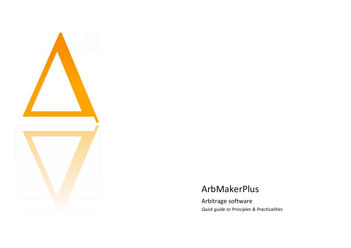

# ArbMakerPlus

Arbitrage software *Quick guide to Principles & Practicalities*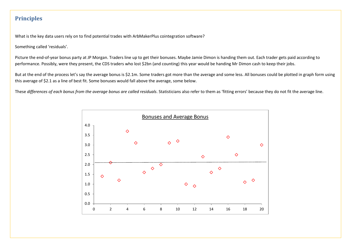### **Principles**

What is the key data users rely on to find potential trades with ArbMakerPlus cointegration software?

Something called 'residuals'.

Picture the end-of-year bonus party at JP Morgan. Traders line up to get their bonuses. Maybe Jamie Dimon is handing them out. Each trader gets paid according to performance. Possibly, were they present, the CDS traders who lost \$2bn (and counting) this year would be handing Mr Dimon cash to keep their jobs.

But at the end of the process let's say the average bonus is \$2.1m. Some traders got more than the average and some less. All bonuses could be plotted in graph form using this average of \$2.1 as a line of best fit. Some bonuses would fall above the average, some below.

These *differences of each bonus from the average bonus are called residuals*. Statisticians also refer to them as 'fitting errors' because they do not fit the average line.

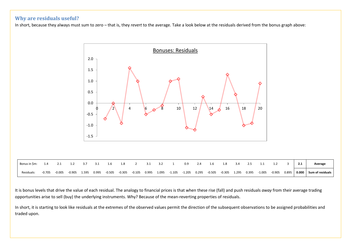#### **Why are residuals useful?**

In short, because they always must sum to zero – that is, they *revert* to the average. Take a look below at the residuals derived from the bonus graph above:



It is bonus levels that drive the value of each residual. The analogy to financial prices is that when these rise (fall) and push residuals *away* from their average trading opportunities arise to sell (buy) the underlying instruments. Why? Because of the mean-reverting properties of residuals.

In short, it is starting to look like residuals at the extremes of the observed values permit the direction of the subsequent observations to be assigned probabilities and traded upon.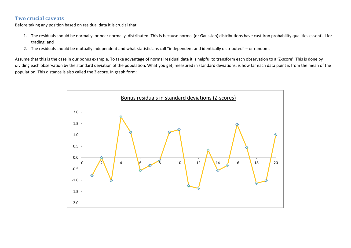#### **Two crucial caveats**

Before taking any position based on residual data it is crucial that:

- 1. The residuals should be normally, or near normally, distributed. This is because normal (or Gaussian) distributions have cast-iron probability qualities essential for trading; and
- 2. The residuals should be mutually independent and what statisticians call "independent and identically distributed" or random.

Assume that this is the case in our bonus example. To take advantage of normal residual data it is helpful to transform each observation to a 'Z-score'. This is done by dividing each observation by the standard deviation of the population. What you get, measured in standard deviations, is how far each data point is from the mean of the population. This distance is also called the Z-score. In graph form:

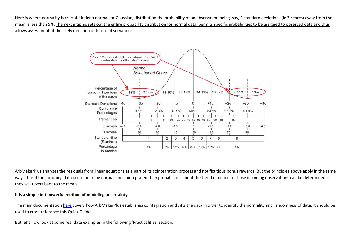Here is where normality is crucial. Under a normal, or Gaussian, distribution the probability of an observation being, say, 2 standard deviations (ie Z-scores) away from the mean is less than 5%. The next graphic sets out the entire probability distribution for normal data, permits specific probabilities to be assigned to observed data and thus allows assessment of the likely direction of future observations:



ArbMakerPlus analyzes the residuals from linear equations as a part of its cointegration process and not fictitious bonus rewards. But the principles above apply in the same way. Thus if the incoming data continue to be normal and cointegrated then probabilities about the trend direction of those incoming observations can be determined – they will revert back to the mean.

#### **It is a simple but powerful method of modeling uncertainty.**

The main documentation [here](http://arb-maker.com/support/documentation) covers how ArbMakerPlus establishes cointegration and sifts the data in order to identify the normality and randomness of data. It should be used to cross-reference this Quick Guide.

But let's now look at some real data examples in the following 'Practicalities' section.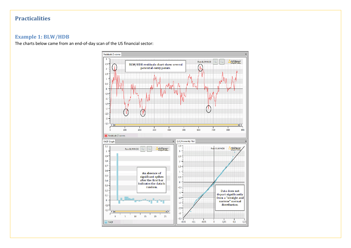## **Practicalities**

#### **Example 1: BLW/HDB**

The charts below came from an end-of-day scan of the US financial sector:

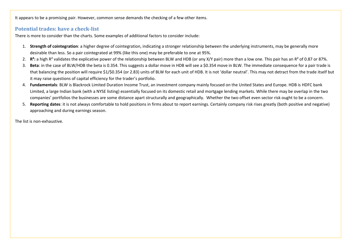It appears to be a promising pair. However, common sense demands the checking of a few other items.

#### **Potential trades: have a check-list**

There is more to consider than the charts. Some examples of additional factors to consider include:

- 1. **Strength of cointegration**: a higher degree of cointegration, indicating a stronger relationship between the underlying instruments, may be generally more desirable than less. So a pair cointegrated at 99% (like this one) may be preferable to one at 95%.
- 2. **R²:** a high R² validates the explicative power of the relationship between BLW and HDB (or any X/Y pair) more than a low one. This pair has an R² of 0.87 or 87%.
- 3. **Beta**: in the case of BLW/HDB the beta is 0.354. This suggests a dollar move in HDB will see a \$0.354 move in BLW. The immediate consequence for a pair trade is that balancing the position will require \$1/\$0.354 (or 2.83) units of BLW for each unit of HDB. It is not 'dollar neutral'. This may not detract from the trade itself but it may raise questions of capital efficiency for the trader's portfolio.
- 4. **Fundamentals**: BLW is Blackrock Limited Duration Income Trust, an investment company mainly focused on the United States and Europe. HDB is HDFC bank Limited, a large Indian bank (with a NYSE listing) essentially focused on its domestic retail and mortgage lending markets. While there may be overlap in the two companies' portfolios the businesses are some distance apart structurally and geographically. Whether the two offset even sector risk ought to be a concern.
- 5. **Reporting dates**: it is not always comfortable to hold positions in firms about to report earnings. Certainly company risk rises greatly (both positive and negative) approaching and during earnings season.

The list is non-exhaustive.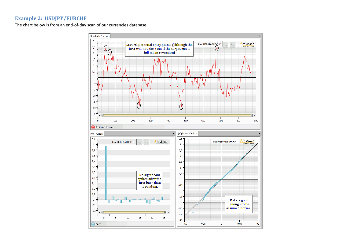### **Example 2: USDJPY/EURCHF**

The chart below is from an end-of-day scan of our currencies database:

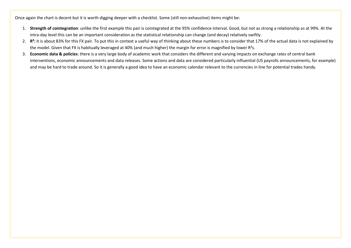Once again the chart is decent but it is worth digging deeper with a checklist. Some (still non-exhaustive) items might be:

- 1. **Strength of cointegration**: unlike the first example this pair is cointegrated at the 95% confidence interval. Good, but not as strong a relationship as at 99%. At the intra-day level this can be an important consideration as the statistical relationship can change (and decay) relatively swiftly.
- 2. R<sup>2</sup>: it is about 83% for this FX pair. To put this in context a useful way of thinking about these numbers is to consider that 17% of the actual data is not explained by the model. Given that FX is habitually leveraged at 40% (and much higher) the margin for error is magnified by lower R<sup>2</sup>s.
- 3. **Economic data & policies**: there is a very large body of academic work that considers the different and varying impacts on exchange rates of central bank interventions, economic announcements and data releases. Some actions and data are considered particularly influential (US payrolls announcements, for example) and may be hard to trade around. So it is generally a good idea to have an economic calendar relevant to the currencies in line for potential trades handy.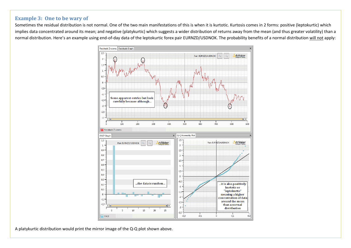#### **Example 3: One to be wary of**

Sometimes the residual distribution is not normal. One of the two main manifestations of this is when it is kurtotic. Kurtosis comes in 2 forms: positive (leptokurtic) which implies data concentrated around its mean; and negative (platykurtic) which suggests a wider distribution of returns away from the mean (and thus greater volatility) than a normal distribution. Here's an example using end-of-day data of the leptokurtic forex pair EURNZD/USDNOK. The probability benefits of a normal distribution will not apply:



A platykurtic distribution would print the mirror image of the Q-Q plot shown above.